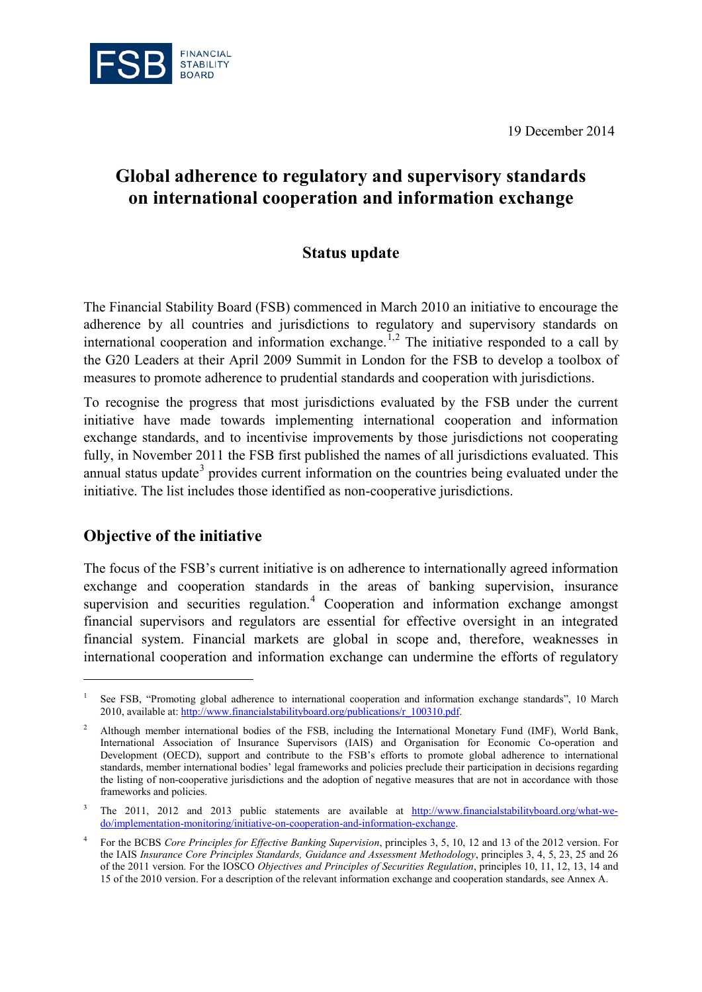19 December 2014



# **Global adherence to regulatory and supervisory standards on international cooperation and information exchange**

## **Status update**

The Financial Stability Board (FSB) commenced in March 2010 an initiative to encourage the adherence by all countries and jurisdictions to regulatory and supervisory standards on international cooperation and information exchange.<sup>[1,](#page-0-0)[2](#page-0-1)</sup> The initiative responded to a call by the G20 Leaders at their April 2009 Summit in London for the FSB to develop a toolbox of measures to promote adherence to prudential standards and cooperation with jurisdictions.

To recognise the progress that most jurisdictions evaluated by the FSB under the current initiative have made towards implementing international cooperation and information exchange standards, and to incentivise improvements by those jurisdictions not cooperating fully, in November 2011 the FSB first published the names of all jurisdictions evaluated. This annual status update<sup>[3](#page-0-2)</sup> provides current information on the countries being evaluated under the initiative. The list includes those identified as non-cooperative jurisdictions.

## **Objective of the initiative**

-

The focus of the FSB's current initiative is on adherence to internationally agreed information exchange and cooperation standards in the areas of banking supervision, insurance supervision and securities regulation.<sup>[4](#page-0-3)</sup> Cooperation and information exchange amongst financial supervisors and regulators are essential for effective oversight in an integrated financial system. Financial markets are global in scope and, therefore, weaknesses in international cooperation and information exchange can undermine the efforts of regulatory

<span id="page-0-0"></span>See FSB, "Promoting global adherence to international cooperation and information exchange standards", 10 March 2010, available at[: http://www.financialstabilityboard.org/publications/r\\_100310.pdf.](http://www.financialstabilityboard.org/publications/r_100310.pdf)

<span id="page-0-1"></span><sup>2</sup> Although member international bodies of the FSB, including the International Monetary Fund (IMF), World Bank, International Association of Insurance Supervisors (IAIS) and Organisation for Economic Co-operation and Development (OECD), support and contribute to the FSB's efforts to promote global adherence to international standards, member international bodies' legal frameworks and policies preclude their participation in decisions regarding the listing of non-cooperative jurisdictions and the adoption of negative measures that are not in accordance with those frameworks and policies.

<span id="page-0-2"></span><sup>&</sup>lt;sup>3</sup> The 2011, 2012 and 2013 public statements are available at [http://www.financialstabilityboard.org/what-we](http://www.financialstabilityboard.org/what-we-do/implementation-monitoring/initiative-on-cooperation-and-information-exchange)[do/implementation-monitoring/initiative-on-cooperation-and-information-exchange.](http://www.financialstabilityboard.org/what-we-do/implementation-monitoring/initiative-on-cooperation-and-information-exchange)

<span id="page-0-3"></span><sup>4</sup> For the BCBS *Core Principles for Effective Banking Supervision*, principles 3, 5, 10, 12 and 13 of the 2012 version. For the IAIS *Insurance Core Principles Standards, Guidance and Assessment Methodology*, principles 3, 4, 5, 23, 25 and 26 of the 2011 version. For the IOSCO *Objectives and Principles of Securities Regulation*, principles 10, 11, 12, 13, 14 and 15 of the 2010 version. For a description of the relevant information exchange and cooperation standards, see Annex A.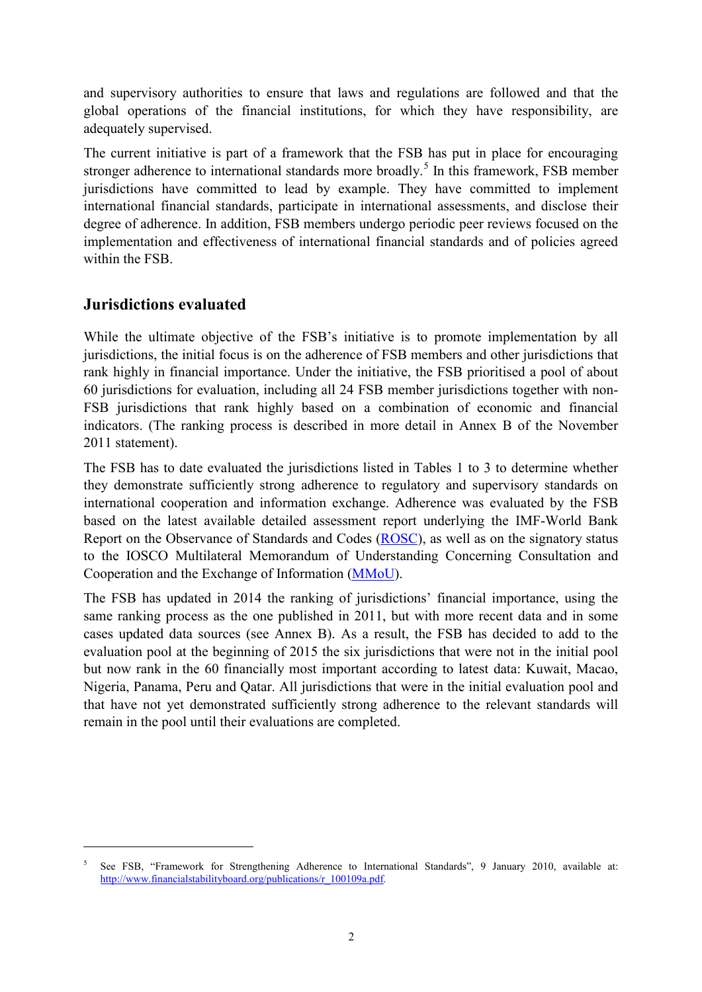and supervisory authorities to ensure that laws and regulations are followed and that the global operations of the financial institutions, for which they have responsibility, are adequately supervised.

The current initiative is part of a framework that the FSB has put in place for encouraging stronger adherence to international standards more broadly.<sup>[5](#page-1-0)</sup> In this framework, FSB member jurisdictions have committed to lead by example. They have committed to implement international financial standards, participate in international assessments, and disclose their degree of adherence. In addition, FSB members undergo periodic peer reviews focused on the implementation and effectiveness of international financial standards and of policies agreed within the FSB.

## **Jurisdictions evaluated**

-

While the ultimate objective of the FSB's initiative is to promote implementation by all jurisdictions, the initial focus is on the adherence of FSB members and other jurisdictions that rank highly in financial importance. Under the initiative, the FSB prioritised a pool of about 60 jurisdictions for evaluation, including all 24 FSB member jurisdictions together with non-FSB jurisdictions that rank highly based on a combination of economic and financial indicators. (The ranking process is described in more detail in Annex B of the November 2011 statement).

The FSB has to date evaluated the jurisdictions listed in Tables 1 to 3 to determine whether they demonstrate sufficiently strong adherence to regulatory and supervisory standards on international cooperation and information exchange. Adherence was evaluated by the FSB based on the latest available detailed assessment report underlying the IMF-World Bank Report on the Observance of Standards and Codes [\(ROSC\)](http://www.imf.org/external/np/rosc/rosc.asp), as well as on the signatory status to the IOSCO Multilateral Memorandum of Understanding Concerning Consultation and Cooperation and the Exchange of Information [\(MMoU\)](http://www.iosco.org/about/?subsection=mmou).

The FSB has updated in 2014 the ranking of jurisdictions' financial importance, using the same ranking process as the one published in 2011, but with more recent data and in some cases updated data sources (see Annex B). As a result, the FSB has decided to add to the evaluation pool at the beginning of 2015 the six jurisdictions that were not in the initial pool but now rank in the 60 financially most important according to latest data: Kuwait, Macao, Nigeria, Panama, Peru and Qatar. All jurisdictions that were in the initial evaluation pool and that have not yet demonstrated sufficiently strong adherence to the relevant standards will remain in the pool until their evaluations are completed.

<span id="page-1-0"></span><sup>5</sup> See FSB, "Framework for Strengthening Adherence to International Standards", 9 January 2010, available at: [http://www.financialstabilityboard.org/publications/r\\_100109a.pdf.](http://www.financialstabilityboard.org/publications/r_100109a.pdf)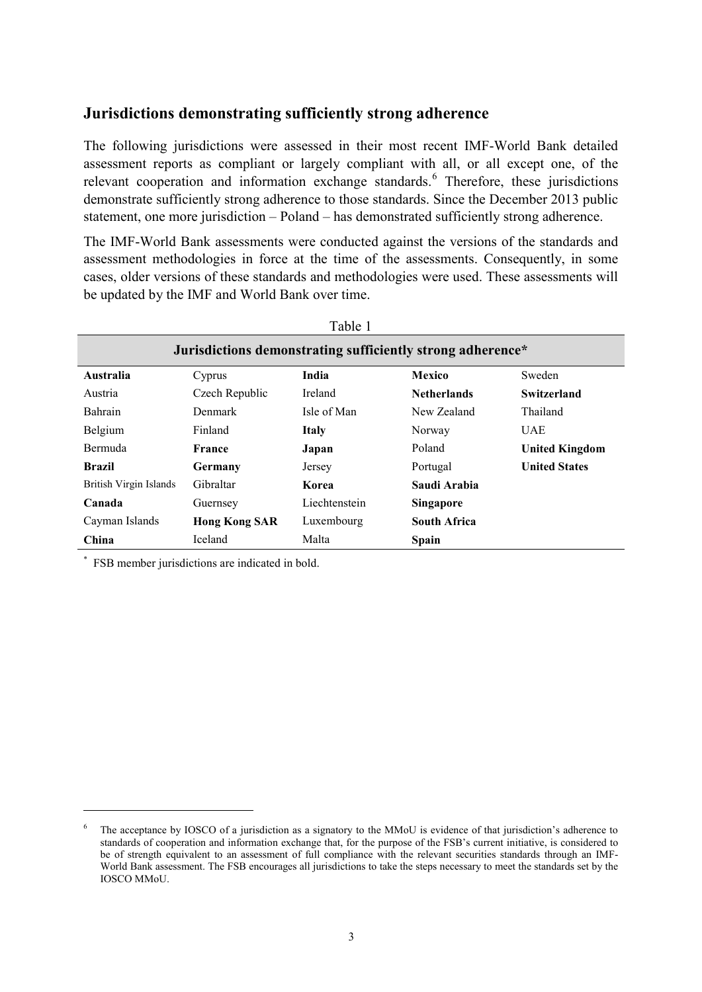## **Jurisdictions demonstrating sufficiently strong adherence**

The following jurisdictions were assessed in their most recent IMF-World Bank detailed assessment reports as compliant or largely compliant with all, or all except one, of the relevant cooperation and information exchange standards.<sup>[6](#page-2-0)</sup> Therefore, these jurisdictions demonstrate sufficiently strong adherence to those standards. Since the December 2013 public statement, one more jurisdiction – Poland – has demonstrated sufficiently strong adherence.

The IMF-World Bank assessments were conducted against the versions of the standards and assessment methodologies in force at the time of the assessments. Consequently, in some cases, older versions of these standards and methodologies were used. These assessments will be updated by the IMF and World Bank over time.

|                                                            |                      | Table 1        |                     |                       |  |  |  |  |
|------------------------------------------------------------|----------------------|----------------|---------------------|-----------------------|--|--|--|--|
| Jurisdictions demonstrating sufficiently strong adherence* |                      |                |                     |                       |  |  |  |  |
| <b>Australia</b>                                           | Cyprus               | India          | Mexico              | Sweden                |  |  |  |  |
| Austria                                                    | Czech Republic       | <b>Ireland</b> | <b>Netherlands</b>  | Switzerland           |  |  |  |  |
| <b>Bahrain</b>                                             | Denmark              | Isle of Man    | New Zealand         | Thailand              |  |  |  |  |
| Belgium                                                    | Finland              | <b>Italy</b>   | Norway              | UAE                   |  |  |  |  |
| <b>Bermuda</b>                                             | France               | Japan          | Poland              | <b>United Kingdom</b> |  |  |  |  |
| <b>Brazil</b>                                              | Germany              | Jersey         | Portugal            | <b>United States</b>  |  |  |  |  |
| British Virgin Islands                                     | Gibraltar            | Korea          | Saudi Arabia        |                       |  |  |  |  |
| Canada                                                     | Guernsey             | Liechtenstein  | <b>Singapore</b>    |                       |  |  |  |  |
| Cayman Islands                                             | <b>Hong Kong SAR</b> | Luxembourg     | <b>South Africa</b> |                       |  |  |  |  |
| China                                                      | Iceland              | Malta          | Spain               |                       |  |  |  |  |

\* FSB member jurisdictions are indicated in bold.

<u>.</u>

<span id="page-2-0"></span><sup>&</sup>lt;sup>6</sup> The acceptance by IOSCO of a jurisdiction as a signatory to the MMoU is evidence of that jurisdiction's adherence to standards of cooperation and information exchange that, for the purpose of the FSB's current initiative, is considered to be of strength equivalent to an assessment of full compliance with the relevant securities standards through an IMF-World Bank assessment. The FSB encourages all jurisdictions to take the steps necessary to meet the standards set by the IOSCO MMoU.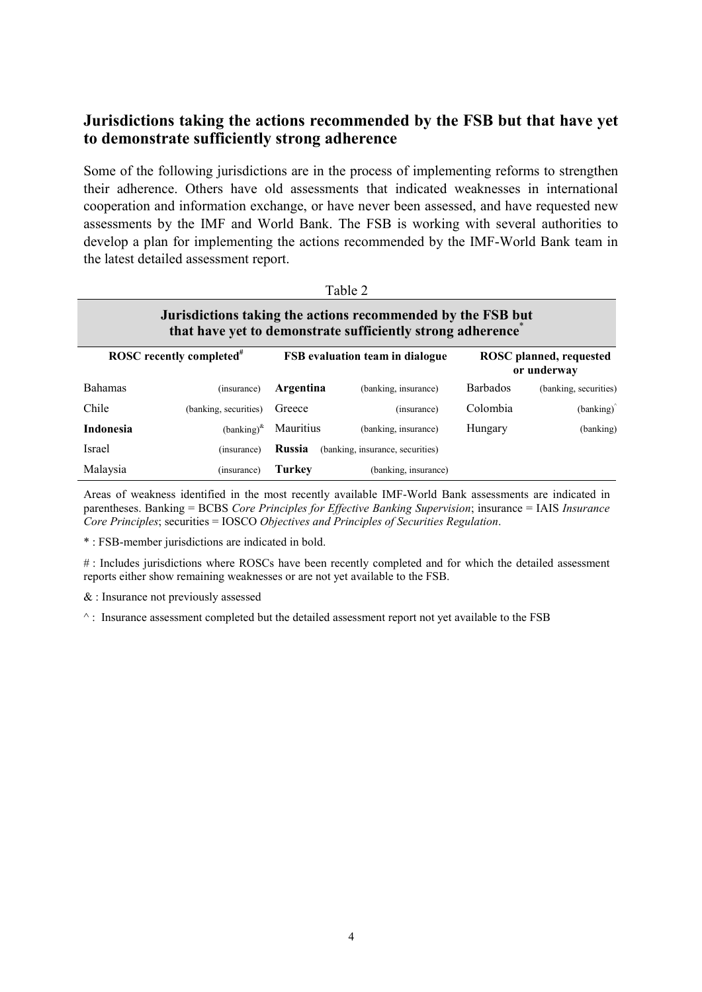## **Jurisdictions taking the actions recommended by the FSB but that have yet to demonstrate sufficiently strong adherence**

Some of the following jurisdictions are in the process of implementing reforms to strengthen their adherence. Others have old assessments that indicated weaknesses in international cooperation and information exchange, or have never been assessed, and have requested new assessments by the IMF and World Bank. The FSB is working with several authorities to develop a plan for implementing the actions recommended by the IMF-World Bank team in the latest detailed assessment report.

| Table 2                                                                                                                   |                       |                                            |                      |                                        |                       |  |  |  |
|---------------------------------------------------------------------------------------------------------------------------|-----------------------|--------------------------------------------|----------------------|----------------------------------------|-----------------------|--|--|--|
| Jurisdictions taking the actions recommended by the FSB but<br>that have yet to demonstrate sufficiently strong adherence |                       |                                            |                      |                                        |                       |  |  |  |
| ROSC recently completed <sup>#</sup>                                                                                      |                       | <b>FSB</b> evaluation team in dialogue     |                      | ROSC planned, requested<br>or underway |                       |  |  |  |
| <b>Bahamas</b>                                                                                                            | (insurance)           | Argentina                                  | (banking, insurance) | <b>Barbados</b>                        | (banking, securities) |  |  |  |
| Chile                                                                                                                     | (banking, securities) | Greece                                     | (insurance)          | Colombia                               | (banking)             |  |  |  |
| Indonesia                                                                                                                 | $(banking)^{k}$       | <b>Mauritius</b>                           | (banking, insurance) | Hungary                                | (banking)             |  |  |  |
| Israel                                                                                                                    | (insurance)           | Russia<br>(banking, insurance, securities) |                      |                                        |                       |  |  |  |
| Malaysia                                                                                                                  | (insurance)           | <b>Turkey</b>                              | (banking, insurance) |                                        |                       |  |  |  |

Areas of weakness identified in the most recently available IMF-World Bank assessments are indicated in parentheses. Banking = BCBS *Core Principles for Effective Banking Supervision*; insurance = IAIS *Insurance Core Principles*; securities = IOSCO *Objectives and Principles of Securities Regulation*.

\* : FSB-member jurisdictions are indicated in bold.

# : Includes jurisdictions where ROSCs have been recently completed and for which the detailed assessment reports either show remaining weaknesses or are not yet available to the FSB.

& : Insurance not previously assessed

 $\land$ : Insurance assessment completed but the detailed assessment report not yet available to the FSB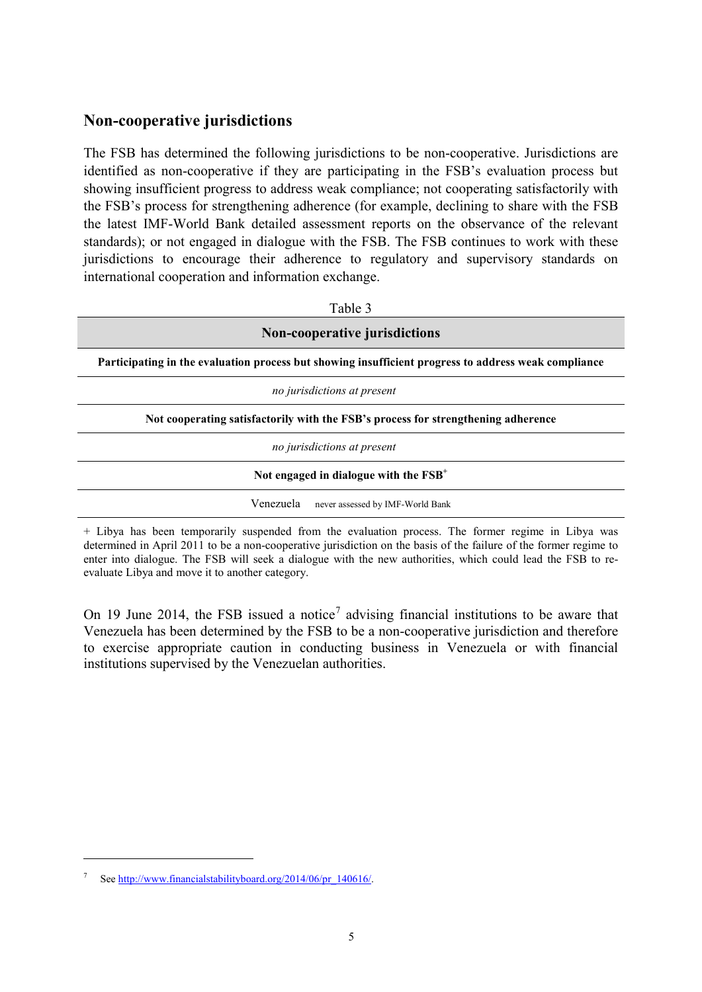## **Non-cooperative jurisdictions**

The FSB has determined the following jurisdictions to be non-cooperative. Jurisdictions are identified as non-cooperative if they are participating in the FSB's evaluation process but showing insufficient progress to address weak compliance; not cooperating satisfactorily with the FSB's process for strengthening adherence (for example, declining to share with the FSB the latest IMF-World Bank detailed assessment reports on the observance of the relevant standards); or not engaged in dialogue with the FSB. The FSB continues to work with these jurisdictions to encourage their adherence to regulatory and supervisory standards on international cooperation and information exchange.

| Table 3                                                                                              |  |  |  |  |  |  |
|------------------------------------------------------------------------------------------------------|--|--|--|--|--|--|
| Non-cooperative jurisdictions                                                                        |  |  |  |  |  |  |
| Participating in the evaluation process but showing insufficient progress to address weak compliance |  |  |  |  |  |  |
| no jurisdictions at present                                                                          |  |  |  |  |  |  |
| Not cooperating satisfactorily with the FSB's process for strengthening adherence                    |  |  |  |  |  |  |
| no jurisdictions at present                                                                          |  |  |  |  |  |  |
| Not engaged in dialogue with the $FSB+$                                                              |  |  |  |  |  |  |
| Venezuela<br>never assessed by IMF-World Bank                                                        |  |  |  |  |  |  |

+ Libya has been temporarily suspended from the evaluation process. The former regime in Libya was determined in April 2011 to be a non-cooperative jurisdiction on the basis of the failure of the former regime to enter into dialogue. The FSB will seek a dialogue with the new authorities, which could lead the FSB to reevaluate Libya and move it to another category.

On 19 June 2014, the FSB issued a notice<sup>[7](#page-4-0)</sup> advising financial institutions to be aware that Venezuela has been determined by the FSB to be a non-cooperative jurisdiction and therefore to exercise appropriate caution in conducting business in Venezuela or with financial institutions supervised by the Venezuelan authorities.

-

<span id="page-4-0"></span>Se[e http://www.financialstabilityboard.org/2014/06/pr\\_140616/.](http://www.financialstabilityboard.org/2014/06/pr_140616/)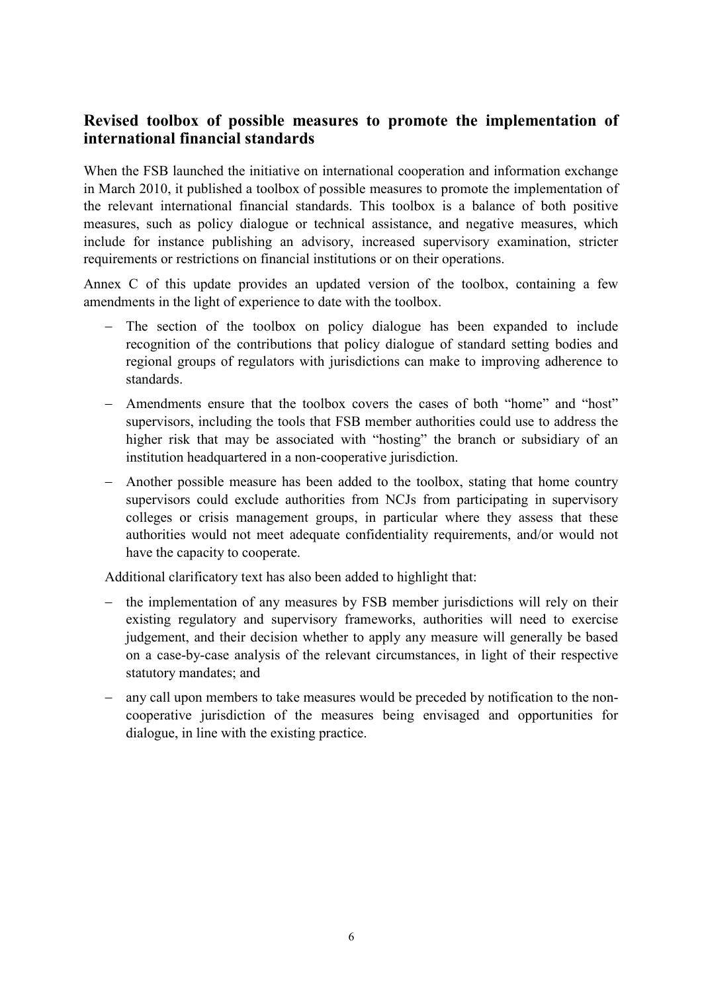## **Revised toolbox of possible measures to promote the implementation of international financial standards**

When the FSB launched the initiative on international cooperation and information exchange in March 2010, it published a toolbox of possible measures to promote the implementation of the relevant international financial standards. This toolbox is a balance of both positive measures, such as policy dialogue or technical assistance, and negative measures, which include for instance publishing an advisory, increased supervisory examination, stricter requirements or restrictions on financial institutions or on their operations.

Annex C of this update provides an updated version of the toolbox, containing a few amendments in the light of experience to date with the toolbox.

- − The section of the toolbox on policy dialogue has been expanded to include recognition of the contributions that policy dialogue of standard setting bodies and regional groups of regulators with jurisdictions can make to improving adherence to standards.
- − Amendments ensure that the toolbox covers the cases of both "home" and "host" supervisors, including the tools that FSB member authorities could use to address the higher risk that may be associated with "hosting" the branch or subsidiary of an institution headquartered in a non-cooperative jurisdiction.
- − Another possible measure has been added to the toolbox, stating that home country supervisors could exclude authorities from NCJs from participating in supervisory colleges or crisis management groups, in particular where they assess that these authorities would not meet adequate confidentiality requirements, and/or would not have the capacity to cooperate.

Additional clarificatory text has also been added to highlight that:

- − the implementation of any measures by FSB member jurisdictions will rely on their existing regulatory and supervisory frameworks, authorities will need to exercise judgement, and their decision whether to apply any measure will generally be based on a case-by-case analysis of the relevant circumstances, in light of their respective statutory mandates; and
- − any call upon members to take measures would be preceded by notification to the noncooperative jurisdiction of the measures being envisaged and opportunities for dialogue, in line with the existing practice.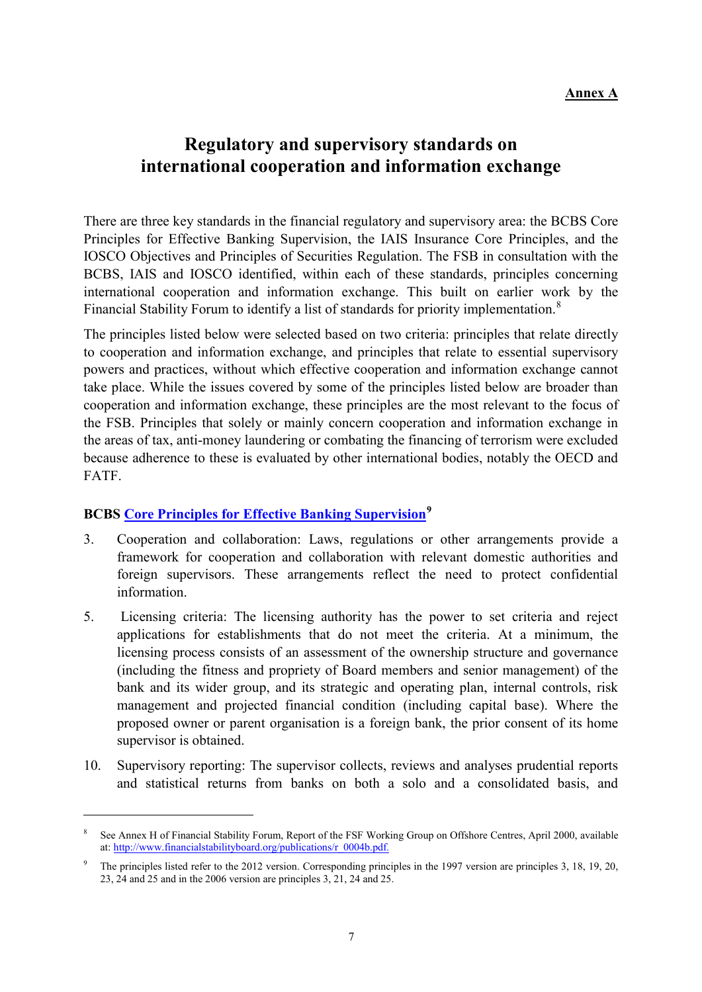#### **Annex A**

## **Regulatory and supervisory standards on international cooperation and information exchange**

There are three key standards in the financial regulatory and supervisory area: the BCBS Core Principles for Effective Banking Supervision, the IAIS Insurance Core Principles, and the IOSCO Objectives and Principles of Securities Regulation. The FSB in consultation with the BCBS, IAIS and IOSCO identified, within each of these standards, principles concerning international cooperation and information exchange. This built on earlier work by the Financial Stability Forum to identify a list of standards for priority implementation.<sup>[8](#page-6-0)</sup>

The principles listed below were selected based on two criteria: principles that relate directly to cooperation and information exchange, and principles that relate to essential supervisory powers and practices, without which effective cooperation and information exchange cannot take place. While the issues covered by some of the principles listed below are broader than cooperation and information exchange, these principles are the most relevant to the focus of the FSB. Principles that solely or mainly concern cooperation and information exchange in the areas of tax, anti-money laundering or combating the financing of terrorism were excluded because adherence to these is evaluated by other international bodies, notably the OECD and FATF.

### **BCBS [Core Principles for Effective Banking Supervision](http://www.bis.org/publ/bcbs230.htm)[9](#page-6-1)**

-

- 3. Cooperation and collaboration: Laws, regulations or other arrangements provide a framework for cooperation and collaboration with relevant domestic authorities and foreign supervisors. These arrangements reflect the need to protect confidential information.
- 5. Licensing criteria: The licensing authority has the power to set criteria and reject applications for establishments that do not meet the criteria. At a minimum, the licensing process consists of an assessment of the ownership structure and governance (including the fitness and propriety of Board members and senior management) of the bank and its wider group, and its strategic and operating plan, internal controls, risk management and projected financial condition (including capital base). Where the proposed owner or parent organisation is a foreign bank, the prior consent of its home supervisor is obtained.
- 10. Supervisory reporting: The supervisor collects, reviews and analyses prudential reports and statistical returns from banks on both a solo and a consolidated basis, and

<span id="page-6-0"></span><sup>8</sup> See Annex H of Financial Stability Forum, Report of the FSF Working Group on Offshore Centres, April 2000, available at[: http://www.financialstabilityboard.org/publications/r\\_0004b.pdf.](http://www.financialstabilityboard.org/publications/r_0004b.pdf)

<span id="page-6-1"></span><sup>9</sup> The principles listed refer to the 2012 version. Corresponding principles in the 1997 version are principles 3, 18, 19, 20, 23, 24 and 25 and in the 2006 version are principles 3, 21, 24 and 25.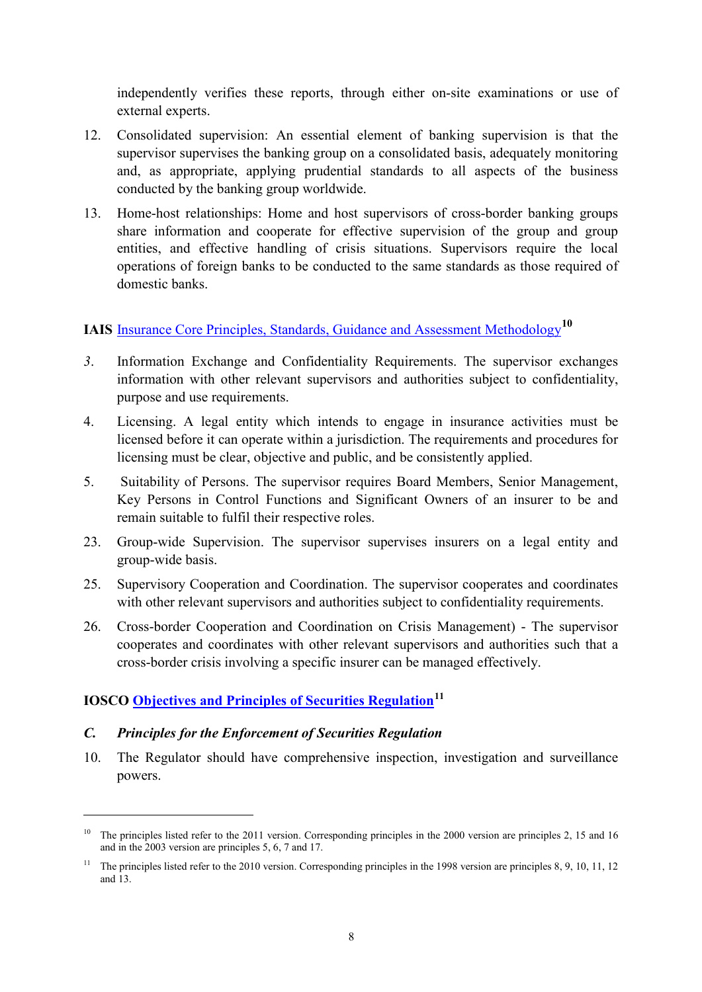independently verifies these reports, through either on-site examinations or use of external experts.

- 12. Consolidated supervision: An essential element of banking supervision is that the supervisor supervises the banking group on a consolidated basis, adequately monitoring and, as appropriate, applying prudential standards to all aspects of the business conducted by the banking group worldwide.
- 13. Home-host relationships: Home and host supervisors of cross-border banking groups share information and cooperate for effective supervision of the group and group entities, and effective handling of crisis situations. Supervisors require the local operations of foreign banks to be conducted to the same standards as those required of domestic banks.

# **IAIS** [Insurance Core Principles, Standards, Guidance and Assessment Methodology](http://www.iaisweb.org/Insurance-Core-Principles--795)**[10](#page-7-0)**

- *3*. Information Exchange and Confidentiality Requirements. The supervisor exchanges information with other relevant supervisors and authorities subject to confidentiality, purpose and use requirements.
- 4. Licensing. A legal entity which intends to engage in insurance activities must be licensed before it can operate within a jurisdiction. The requirements and procedures for licensing must be clear, objective and public, and be consistently applied.
- 5. Suitability of Persons. The supervisor requires Board Members, Senior Management, Key Persons in Control Functions and Significant Owners of an insurer to be and remain suitable to fulfil their respective roles.
- 23. Group-wide Supervision. The supervisor supervises insurers on a legal entity and group-wide basis.
- 25. Supervisory Cooperation and Coordination. The supervisor cooperates and coordinates with other relevant supervisors and authorities subject to confidentiality requirements.
- 26. Cross-border Cooperation and Coordination on Crisis Management) The supervisor cooperates and coordinates with other relevant supervisors and authorities such that a cross-border crisis involving a specific insurer can be managed effectively.

## **IOSCO [Objectives and Principles of Securities Regulation](http://www.iosco.org/library/pubdocs/pdf/IOSCOPD323.pdf)[11](#page-7-1)**

#### *C. Principles for the Enforcement of Securities Regulation*

-

10. The Regulator should have comprehensive inspection, investigation and surveillance powers.

<span id="page-7-0"></span><sup>&</sup>lt;sup>10</sup> The principles listed refer to the 2011 version. Corresponding principles in the 2000 version are principles 2, 15 and 16 and in the 2003 version are principles 5, 6, 7 and 17.

<span id="page-7-1"></span><sup>&</sup>lt;sup>11</sup> The principles listed refer to the 2010 version. Corresponding principles in the 1998 version are principles 8, 9, 10, 11, 12 and 13.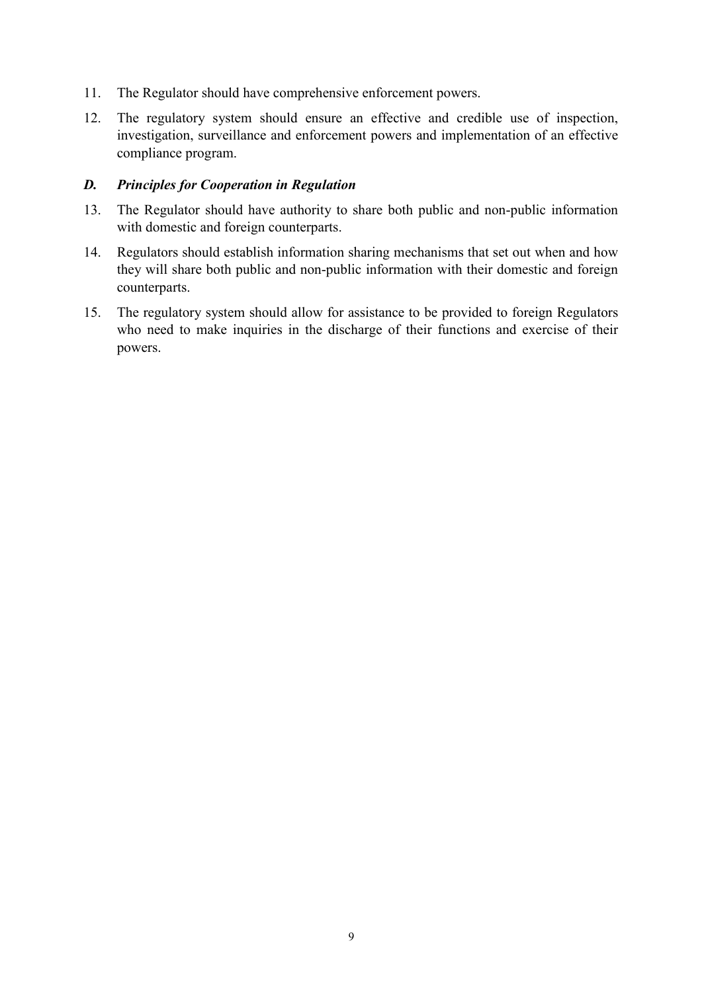- 11. The Regulator should have comprehensive enforcement powers.
- 12. The regulatory system should ensure an effective and credible use of inspection, investigation, surveillance and enforcement powers and implementation of an effective compliance program.

#### *D. Principles for Cooperation in Regulation*

- 13. The Regulator should have authority to share both public and non-public information with domestic and foreign counterparts.
- 14. Regulators should establish information sharing mechanisms that set out when and how they will share both public and non-public information with their domestic and foreign counterparts.
- 15. The regulatory system should allow for assistance to be provided to foreign Regulators who need to make inquiries in the discharge of their functions and exercise of their powers.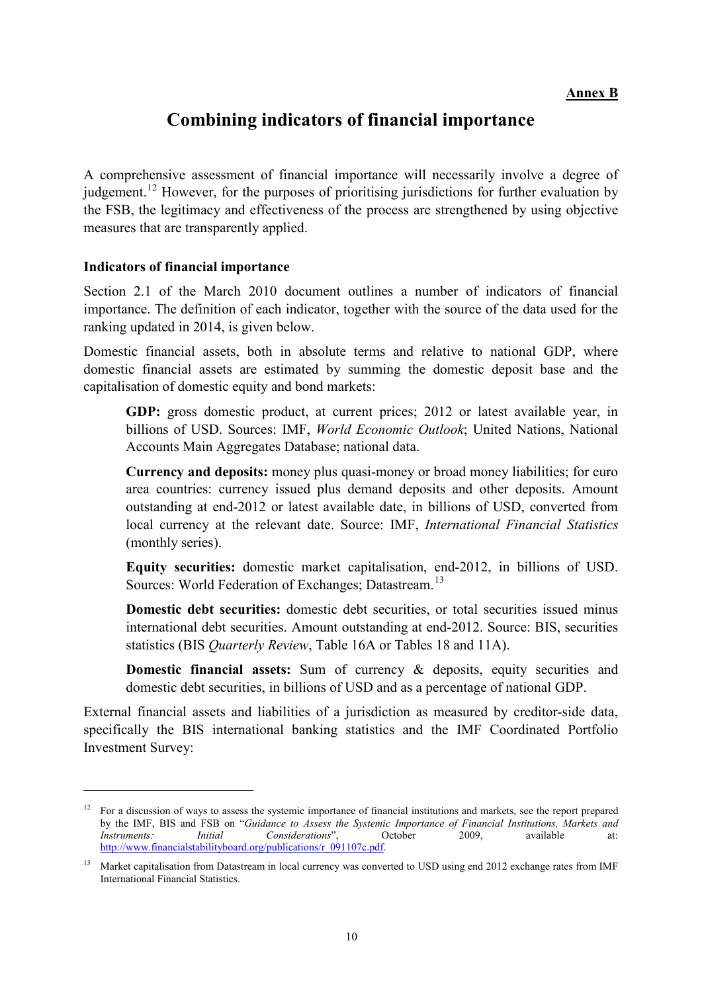## **Combining indicators of financial importance**

A comprehensive assessment of financial importance will necessarily involve a degree of iudgement.<sup>[12](#page-9-0)</sup> However, for the purposes of prioritising jurisdictions for further evaluation by the FSB, the legitimacy and effectiveness of the process are strengthened by using objective measures that are transparently applied.

#### **Indicators of financial importance**

-

Section 2.1 of the March 2010 document outlines a number of indicators of financial importance. The definition of each indicator, together with the source of the data used for the ranking updated in 2014, is given below.

Domestic financial assets, both in absolute terms and relative to national GDP, where domestic financial assets are estimated by summing the domestic deposit base and the capitalisation of domestic equity and bond markets:

**GDP:** gross domestic product, at current prices; 2012 or latest available year, in billions of USD. Sources: IMF, *World Economic Outlook*; United Nations, National Accounts Main Aggregates Database; national data.

**Currency and deposits:** money plus quasi-money or broad money liabilities; for euro area countries: currency issued plus demand deposits and other deposits. Amount outstanding at end-2012 or latest available date, in billions of USD, converted from local currency at the relevant date. Source: IMF, *International Financial Statistics* (monthly series).

**Equity securities:** domestic market capitalisation, end-2012, in billions of USD. Sources: World Federation of Exchanges; Datastream.<sup>[13](#page-9-1)</sup>

**Domestic debt securities:** domestic debt securities, or total securities issued minus international debt securities. Amount outstanding at end-2012. Source: BIS, securities statistics (BIS *Quarterly Review*, Table 16A or Tables 18 and 11A).

**Domestic financial assets:** Sum of currency & deposits, equity securities and domestic debt securities, in billions of USD and as a percentage of national GDP.

External financial assets and liabilities of a jurisdiction as measured by creditor-side data, specifically the BIS international banking statistics and the IMF Coordinated Portfolio Investment Survey:

<span id="page-9-0"></span><sup>&</sup>lt;sup>12</sup> For a discussion of ways to assess the systemic importance of financial institutions and markets, see the report prepared by the IMF, BIS and FSB on "*Guidance to Assess the Systemic Importance of Financial Institutions, Markets and Instruments: Initial Considerations*", October 2009, available at: [http://www.financialstabilityboard.org/publications/r\\_091107c.pdf.](http://www.financialstabilityboard.org/publications/r_091107c.pdf)

<span id="page-9-1"></span><sup>&</sup>lt;sup>13</sup> Market capitalisation from Datastream in local currency was converted to USD using end 2012 exchange rates from IMF International Financial Statistics.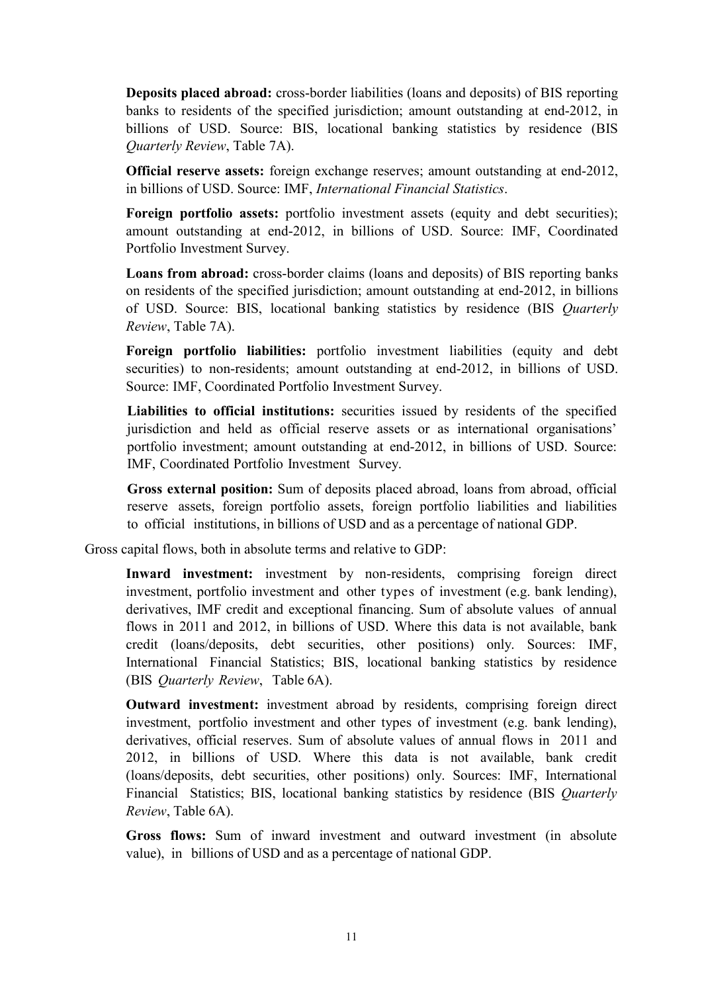**Deposits placed abroad:** cross-border liabilities (loans and deposits) of BIS reporting banks to residents of the specified jurisdiction; amount outstanding at end-2012, in billions of USD. Source: BIS, locational banking statistics by residence (BIS *Quarterly Review*, Table 7A).

**Official reserve assets:** foreign exchange reserves; amount outstanding at end-2012, in billions of USD. Source: IMF, *International Financial Statistics*.

**Foreign portfolio assets:** portfolio investment assets (equity and debt securities); amount outstanding at end-2012, in billions of USD. Source: IMF, Coordinated Portfolio Investment Survey.

**Loans from abroad:** cross-border claims (loans and deposits) of BIS reporting banks on residents of the specified jurisdiction; amount outstanding at end-2012, in billions of USD. Source: BIS, locational banking statistics by residence (BIS *Quarterly Review*, Table 7A).

**Foreign portfolio liabilities:** portfolio investment liabilities (equity and debt securities) to non-residents; amount outstanding at end-2012, in billions of USD. Source: IMF, Coordinated Portfolio Investment Survey.

**Liabilities to official institutions:** securities issued by residents of the specified jurisdiction and held as official reserve assets or as international organisations' portfolio investment; amount outstanding at end-2012, in billions of USD. Source: IMF, Coordinated Portfolio Investment Survey.

**Gross external position:** Sum of deposits placed abroad, loans from abroad, official reserve assets, foreign portfolio assets, foreign portfolio liabilities and liabilities to official institutions, in billions of USD and as a percentage of national GDP.

Gross capital flows, both in absolute terms and relative to GDP:

**Inward investment:** investment by non-residents, comprising foreign direct investment, portfolio investment and other types of investment (e.g. bank lending), derivatives, IMF credit and exceptional financing. Sum of absolute values of annual flows in 2011 and 2012, in billions of USD. Where this data is not available, bank credit (loans/deposits, debt securities, other positions) only. Sources: IMF, International Financial Statistics; BIS, locational banking statistics by residence (BIS *Quarterly Review*, Table 6A).

**Outward investment:** investment abroad by residents, comprising foreign direct investment, portfolio investment and other types of investment (e.g. bank lending), derivatives, official reserves. Sum of absolute values of annual flows in 2011 and 2012, in billions of USD. Where this data is not available, bank credit (loans/deposits, debt securities, other positions) only. Sources: IMF, International Financial Statistics; BIS, locational banking statistics by residence (BIS *Quarterly Review*, Table 6A).

**Gross flows:** Sum of inward investment and outward investment (in absolute value), in billions of USD and as a percentage of national GDP.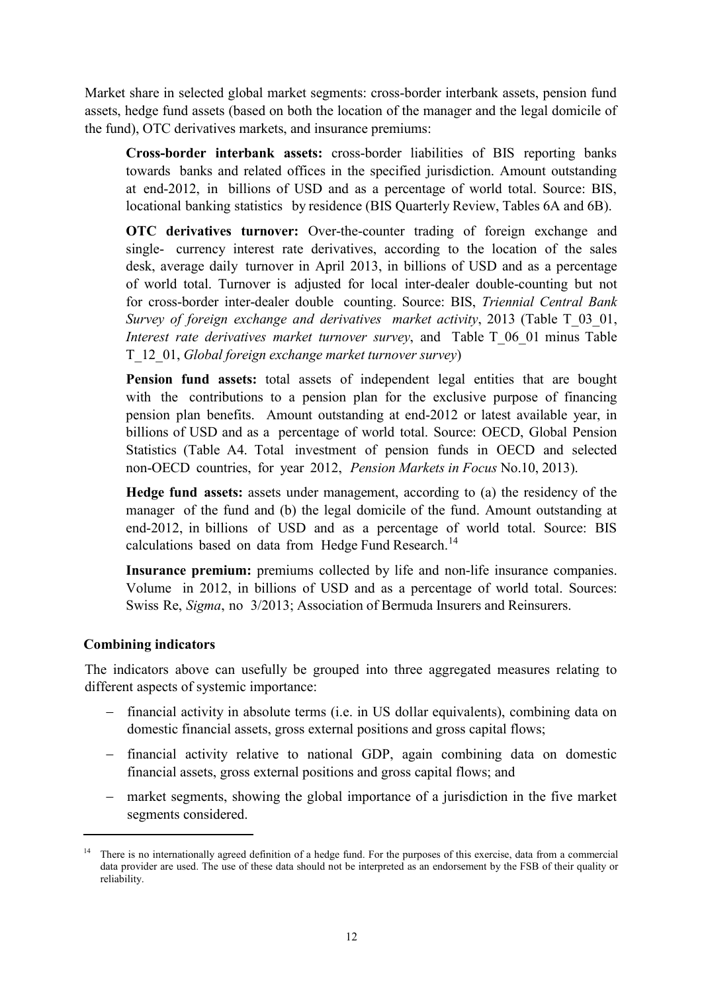Market share in selected global market segments: cross-border interbank assets, pension fund assets, hedge fund assets (based on both the location of the manager and the legal domicile of the fund), OTC derivatives markets, and insurance premiums:

**Cross-border interbank assets:** cross-border liabilities of BIS reporting banks towards banks and related offices in the specified jurisdiction. Amount outstanding at end-2012, in billions of USD and as a percentage of world total. Source: BIS, locational banking statistics by residence (BIS Quarterly Review, Tables 6A and 6B).

**OTC derivatives turnover:** Over-the-counter trading of foreign exchange and single- currency interest rate derivatives, according to the location of the sales desk, average daily turnover in April 2013, in billions of USD and as a percentage of world total. Turnover is adjusted for local inter-dealer double-counting but not for cross-border inter-dealer double counting. Source: BIS, *Triennial Central Bank Survey of foreign exchange and derivatives market activity*, 2013 (Table T\_03\_01, *Interest rate derivatives market turnover survey*, and Table T\_06\_01 minus Table T\_12\_01, *Global foreign exchange market turnover survey*)

**Pension fund assets:** total assets of independent legal entities that are bought with the contributions to a pension plan for the exclusive purpose of financing pension plan benefits. Amount outstanding at end-2012 or latest available year, in billions of USD and as a percentage of world total. Source: OECD, Global Pension Statistics (Table A4. Total investment of pension funds in OECD and selected non-OECD countries, for year 2012, *Pension Markets in Focus* No.10, 2013).

**Hedge fund assets:** assets under management, according to (a) the residency of the manager of the fund and (b) the legal domicile of the fund. Amount outstanding at end-2012, in billions of USD and as a percentage of world total. Source: BIS calculations based on data from Hedge Fund Research.<sup>[14](#page-11-0)</sup>

**Insurance premium:** premiums collected by life and non-life insurance companies. Volume in 2012, in billions of USD and as a percentage of world total. Sources: Swiss Re, *Sigma*, no 3/2013; Association of Bermuda Insurers and Reinsurers.

#### **Combining indicators**

<u>.</u>

The indicators above can usefully be grouped into three aggregated measures relating to different aspects of systemic importance:

- − financial activity in absolute terms (i.e. in US dollar equivalents), combining data on domestic financial assets, gross external positions and gross capital flows;
- − financial activity relative to national GDP, again combining data on domestic financial assets, gross external positions and gross capital flows; and
- − market segments, showing the global importance of a jurisdiction in the five market segments considered.

<span id="page-11-0"></span><sup>&</sup>lt;sup>14</sup> There is no internationally agreed definition of a hedge fund. For the purposes of this exercise, data from a commercial data provider are used. The use of these data should not be interpreted as an endorsement by the FSB of their quality or reliability.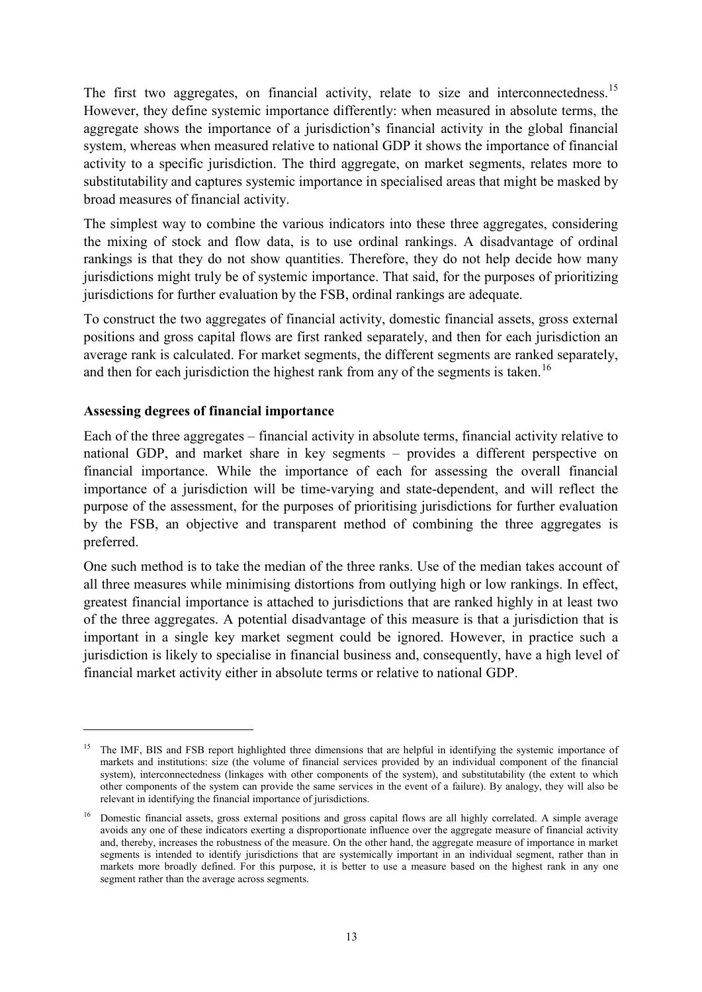The first two aggregates, on financial activity, relate to size and interconnectedness.<sup>[15](#page-12-0)</sup> However, they define systemic importance differently: when measured in absolute terms, the aggregate shows the importance of a jurisdiction's financial activity in the global financial system, whereas when measured relative to national GDP it shows the importance of financial activity to a specific jurisdiction. The third aggregate, on market segments, relates more to substitutability and captures systemic importance in specialised areas that might be masked by broad measures of financial activity.

The simplest way to combine the various indicators into these three aggregates, considering the mixing of stock and flow data, is to use ordinal rankings. A disadvantage of ordinal rankings is that they do not show quantities. Therefore, they do not help decide how many jurisdictions might truly be of systemic importance. That said, for the purposes of prioritizing jurisdictions for further evaluation by the FSB, ordinal rankings are adequate.

To construct the two aggregates of financial activity, domestic financial assets, gross external positions and gross capital flows are first ranked separately, and then for each jurisdiction an average rank is calculated. For market segments, the different segments are ranked separately, and then for each jurisdiction the highest rank from any of the segments is taken.<sup>[16](#page-12-1)</sup>

#### **Assessing degrees of financial importance**

-

Each of the three aggregates – financial activity in absolute terms, financial activity relative to national GDP, and market share in key segments – provides a different perspective on financial importance. While the importance of each for assessing the overall financial importance of a jurisdiction will be time-varying and state-dependent, and will reflect the purpose of the assessment, for the purposes of prioritising jurisdictions for further evaluation by the FSB, an objective and transparent method of combining the three aggregates is preferred.

One such method is to take the median of the three ranks. Use of the median takes account of all three measures while minimising distortions from outlying high or low rankings. In effect, greatest financial importance is attached to jurisdictions that are ranked highly in at least two of the three aggregates. A potential disadvantage of this measure is that a jurisdiction that is important in a single key market segment could be ignored. However, in practice such a jurisdiction is likely to specialise in financial business and, consequently, have a high level of financial market activity either in absolute terms or relative to national GDP.

<span id="page-12-0"></span><sup>&</sup>lt;sup>15</sup> The IMF, BIS and FSB report highlighted three dimensions that are helpful in identifying the systemic importance of markets and institutions: size (the volume of financial services provided by an individual component of the financial system), interconnectedness (linkages with other components of the system), and substitutability (the extent to which other components of the system can provide the same services in the event of a failure). By analogy, they will also be relevant in identifying the financial importance of jurisdictions.

<span id="page-12-1"></span><sup>&</sup>lt;sup>16</sup> Domestic financial assets, gross external positions and gross capital flows are all highly correlated. A simple average avoids any one of these indicators exerting a disproportionate influence over the aggregate measure of financial activity and, thereby, increases the robustness of the measure. On the other hand, the aggregate measure of importance in market segments is intended to identify jurisdictions that are systemically important in an individual segment, rather than in markets more broadly defined. For this purpose, it is better to use a measure based on the highest rank in any one segment rather than the average across segments.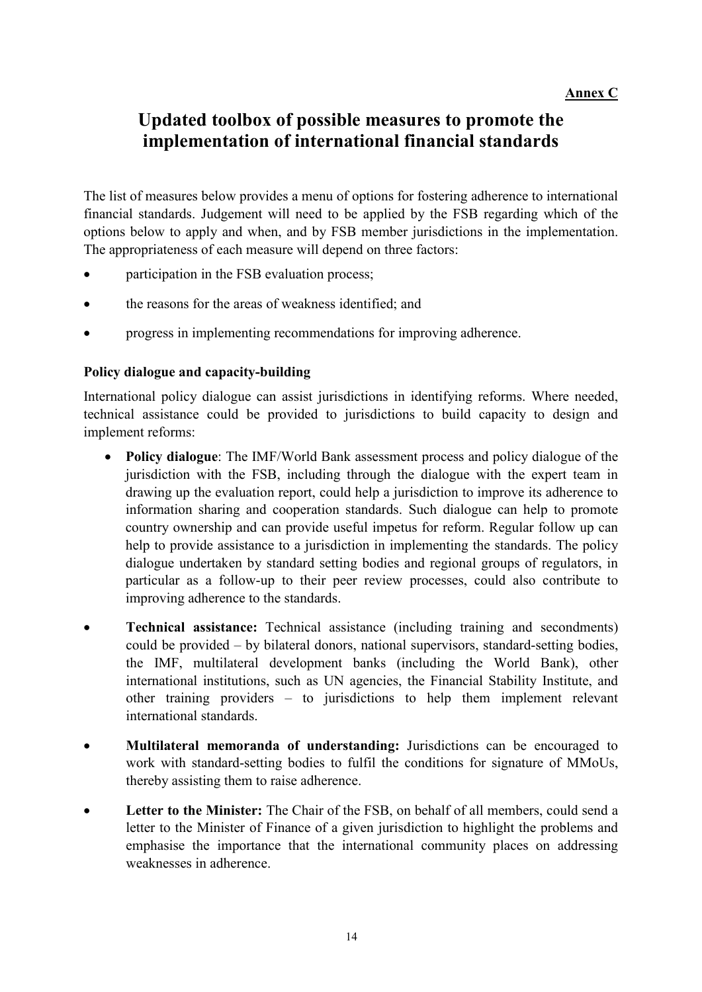# **Updated toolbox of possible measures to promote the implementation of international financial standards**

The list of measures below provides a menu of options for fostering adherence to international financial standards. Judgement will need to be applied by the FSB regarding which of the options below to apply and when, and by FSB member jurisdictions in the implementation. The appropriateness of each measure will depend on three factors:

- participation in the FSB evaluation process;
- the reasons for the areas of weakness identified; and
- progress in implementing recommendations for improving adherence.

#### **Policy dialogue and capacity-building**

International policy dialogue can assist jurisdictions in identifying reforms. Where needed, technical assistance could be provided to jurisdictions to build capacity to design and implement reforms:

- **Policy dialogue**: The IMF/World Bank assessment process and policy dialogue of the jurisdiction with the FSB, including through the dialogue with the expert team in drawing up the evaluation report, could help a jurisdiction to improve its adherence to information sharing and cooperation standards. Such dialogue can help to promote country ownership and can provide useful impetus for reform. Regular follow up can help to provide assistance to a jurisdiction in implementing the standards. The policy dialogue undertaken by standard setting bodies and regional groups of regulators, in particular as a follow-up to their peer review processes, could also contribute to improving adherence to the standards.
- **Technical assistance:** Technical assistance (including training and secondments) could be provided – by bilateral donors, national supervisors, standard-setting bodies, the IMF, multilateral development banks (including the World Bank), other international institutions, such as UN agencies, the Financial Stability Institute, and other training providers – to jurisdictions to help them implement relevant international standards.
- **Multilateral memoranda of understanding:** Jurisdictions can be encouraged to work with standard-setting bodies to fulfil the conditions for signature of MMoUs, thereby assisting them to raise adherence.
- **Letter to the Minister:** The Chair of the FSB, on behalf of all members, could send a letter to the Minister of Finance of a given jurisdiction to highlight the problems and emphasise the importance that the international community places on addressing weaknesses in adherence.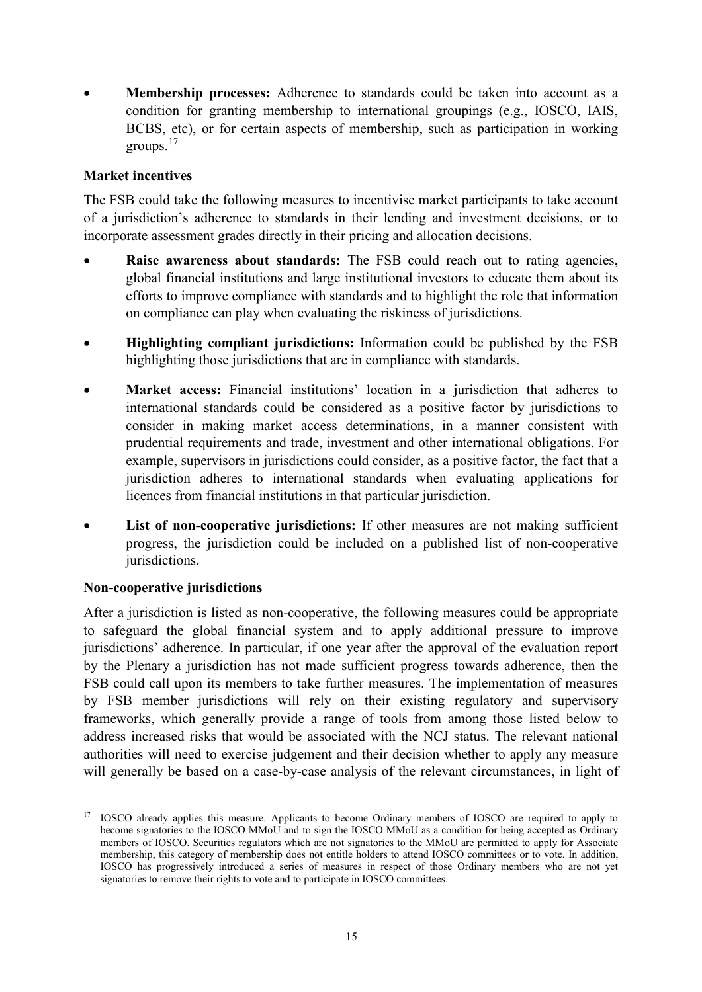• **Membership processes:** Adherence to standards could be taken into account as a condition for granting membership to international groupings (e.g., IOSCO, IAIS, BCBS, etc), or for certain aspects of membership, such as participation in working groups.[17](#page-14-0)

### **Market incentives**

The FSB could take the following measures to incentivise market participants to take account of a jurisdiction's adherence to standards in their lending and investment decisions, or to incorporate assessment grades directly in their pricing and allocation decisions.

- **Raise awareness about standards:** The FSB could reach out to rating agencies, global financial institutions and large institutional investors to educate them about its efforts to improve compliance with standards and to highlight the role that information on compliance can play when evaluating the riskiness of jurisdictions.
- **Highlighting compliant jurisdictions:** Information could be published by the FSB highlighting those jurisdictions that are in compliance with standards.
- **Market access:** Financial institutions' location in a jurisdiction that adheres to international standards could be considered as a positive factor by jurisdictions to consider in making market access determinations, in a manner consistent with prudential requirements and trade, investment and other international obligations. For example, supervisors in jurisdictions could consider, as a positive factor, the fact that a jurisdiction adheres to international standards when evaluating applications for licences from financial institutions in that particular jurisdiction.
- **List of non-cooperative jurisdictions:** If other measures are not making sufficient progress, the jurisdiction could be included on a published list of non-cooperative jurisdictions.

### **Non-cooperative jurisdictions**

-

After a jurisdiction is listed as non-cooperative, the following measures could be appropriate to safeguard the global financial system and to apply additional pressure to improve jurisdictions' adherence. In particular, if one year after the approval of the evaluation report by the Plenary a jurisdiction has not made sufficient progress towards adherence, then the FSB could call upon its members to take further measures. The implementation of measures by FSB member jurisdictions will rely on their existing regulatory and supervisory frameworks, which generally provide a range of tools from among those listed below to address increased risks that would be associated with the NCJ status. The relevant national authorities will need to exercise judgement and their decision whether to apply any measure will generally be based on a case-by-case analysis of the relevant circumstances, in light of

<span id="page-14-0"></span><sup>&</sup>lt;sup>17</sup> IOSCO already applies this measure. Applicants to become Ordinary members of IOSCO are required to apply to become signatories to the IOSCO MMoU and to sign the IOSCO MMoU as a condition for being accepted as Ordinary members of IOSCO. Securities regulators which are not signatories to the MMoU are permitted to apply for Associate membership, this category of membership does not entitle holders to attend IOSCO committees or to vote. In addition, IOSCO has progressively introduced a series of measures in respect of those Ordinary members who are not yet signatories to remove their rights to vote and to participate in IOSCO committees.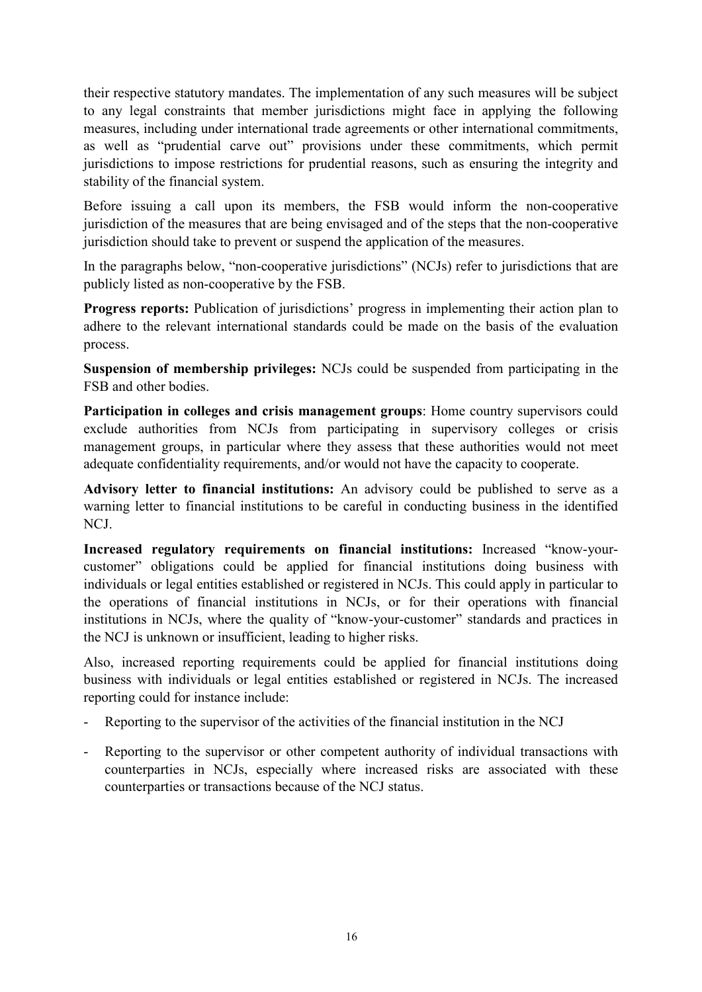their respective statutory mandates. The implementation of any such measures will be subject to any legal constraints that member jurisdictions might face in applying the following measures, including under international trade agreements or other international commitments, as well as "prudential carve out" provisions under these commitments, which permit jurisdictions to impose restrictions for prudential reasons, such as ensuring the integrity and stability of the financial system.

Before issuing a call upon its members, the FSB would inform the non-cooperative jurisdiction of the measures that are being envisaged and of the steps that the non-cooperative jurisdiction should take to prevent or suspend the application of the measures.

In the paragraphs below, "non-cooperative jurisdictions" (NCJs) refer to jurisdictions that are publicly listed as non-cooperative by the FSB.

**Progress reports:** Publication of jurisdictions' progress in implementing their action plan to adhere to the relevant international standards could be made on the basis of the evaluation process.

**Suspension of membership privileges:** NCJs could be suspended from participating in the FSB and other bodies.

**Participation in colleges and crisis management groups**: Home country supervisors could exclude authorities from NCJs from participating in supervisory colleges or crisis management groups, in particular where they assess that these authorities would not meet adequate confidentiality requirements, and/or would not have the capacity to cooperate.

**Advisory letter to financial institutions:** An advisory could be published to serve as a warning letter to financial institutions to be careful in conducting business in the identified NCJ.

**Increased regulatory requirements on financial institutions:** Increased "know-yourcustomer" obligations could be applied for financial institutions doing business with individuals or legal entities established or registered in NCJs. This could apply in particular to the operations of financial institutions in NCJs, or for their operations with financial institutions in NCJs, where the quality of "know-your-customer" standards and practices in the NCJ is unknown or insufficient, leading to higher risks.

Also, increased reporting requirements could be applied for financial institutions doing business with individuals or legal entities established or registered in NCJs. The increased reporting could for instance include:

- Reporting to the supervisor of the activities of the financial institution in the NCJ
- Reporting to the supervisor or other competent authority of individual transactions with counterparties in NCJs, especially where increased risks are associated with these counterparties or transactions because of the NCJ status.